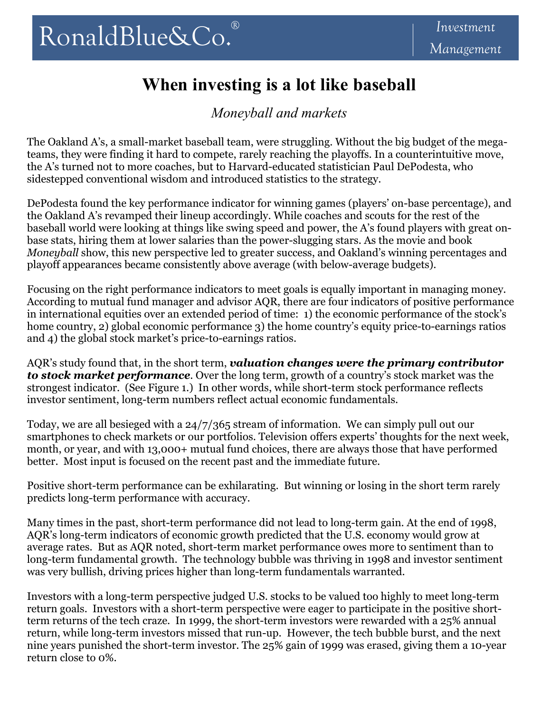## **When investing is a lot like baseball**

*Moneyball and markets* 

The Oakland A's, a small-market baseball team, were struggling. Without the big budget of the megateams, they were finding it hard to compete, rarely reaching the playoffs. In a counterintuitive move, the A's turned not to more coaches, but to Harvard-educated statistician Paul DePodesta, who sidestepped conventional wisdom and introduced statistics to the strategy.

DePodesta found the key performance indicator for winning games (players' on-base percentage), and the Oakland A's revamped their lineup accordingly. While coaches and scouts for the rest of the baseball world were looking at things like swing speed and power, the A's found players with great onbase stats, hiring them at lower salaries than the power-slugging stars. As the movie and book *Moneyball* show, this new perspective led to greater success, and Oakland's winning percentages and playoff appearances became consistently above average (with below-average budgets).

Focusing on the right performance indicators to meet goals is equally important in managing money. According to mutual fund manager and advisor AQR, there are four indicators of positive performance in international equities over an extended period of time: 1) the economic performance of the stock's home country, 2) global economic performance 3) the home country's equity price-to-earnings ratios and 4) the global stock market's price-to-earnings ratios.

AQR's study found that, in the short term, *valuation changes were the primary contributor to stock market performance*. Over the long term, growth of a country's stock market was the strongest indicator. (See Figure 1.) In other words, while short-term stock performance reflects investor sentiment, long-term numbers reflect actual economic fundamentals.

Today, we are all besieged with a 24/7/365 stream of information. We can simply pull out our smartphones to check markets or our portfolios. Television offers experts' thoughts for the next week, month, or year, and with 13,000+ mutual fund choices, there are always those that have performed better. Most input is focused on the recent past and the immediate future.

Positive short-term performance can be exhilarating. But winning or losing in the short term rarely predicts long-term performance with accuracy.

Many times in the past, short-term performance did not lead to long-term gain. At the end of 1998, AQR's long-term indicators of economic growth predicted that the U.S. economy would grow at average rates. But as AQR noted, short-term market performance owes more to sentiment than to long-term fundamental growth. The technology bubble was thriving in 1998 and investor sentiment was very bullish, driving prices higher than long-term fundamentals warranted.

Investors with a long-term perspective judged U.S. stocks to be valued too highly to meet long-term return goals. Investors with a short-term perspective were eager to participate in the positive shortterm returns of the tech craze. In 1999, the short-term investors were rewarded with a 25% annual return, while long-term investors missed that run-up. However, the tech bubble burst, and the next nine years punished the short-term investor. The 25% gain of 1999 was erased, giving them a 10-year return close to 0%.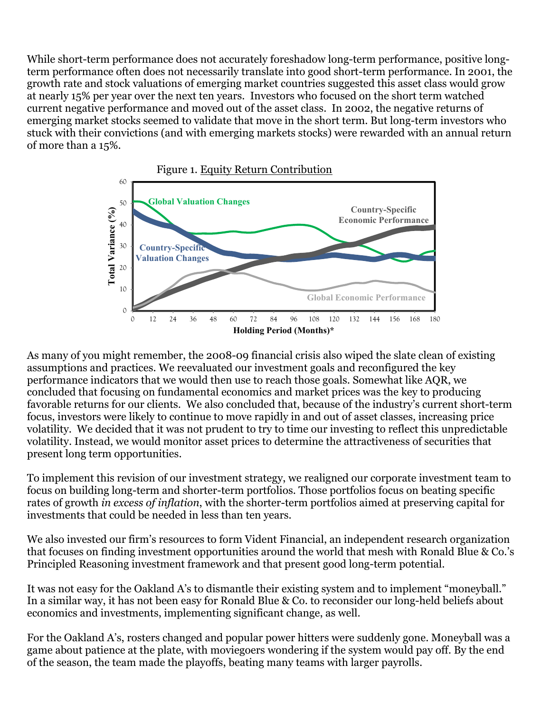While short-term performance does not accurately foreshadow long-term performance, positive longterm performance often does not necessarily translate into good short-term performance. In 2001, the growth rate and stock valuations of emerging market countries suggested this asset class would grow at nearly 15% per year over the next ten years. Investors who focused on the short term watched current negative performance and moved out of the asset class. In 2002, the negative returns of emerging market stocks seemed to validate that move in the short term. But long-term investors who stuck with their convictions (and with emerging markets stocks) were rewarded with an annual return of more than a 15%.



As many of you might remember, the 2008-09 financial crisis also wiped the slate clean of existing assumptions and practices. We reevaluated our investment goals and reconfigured the key performance indicators that we would then use to reach those goals. Somewhat like AQR, we concluded that focusing on fundamental economics and market prices was the key to producing favorable returns for our clients. We also concluded that, because of the industry's current short-term focus, investors were likely to continue to move rapidly in and out of asset classes, increasing price volatility. We decided that it was not prudent to try to time our investing to reflect this unpredictable volatility. Instead, we would monitor asset prices to determine the attractiveness of securities that present long term opportunities.

To implement this revision of our investment strategy, we realigned our corporate investment team to focus on building long-term and shorter-term portfolios. Those portfolios focus on beating specific rates of growth *in excess of inflation*, with the shorter-term portfolios aimed at preserving capital for investments that could be needed in less than ten years.

We also invested our firm's resources to form Vident Financial, an independent research organization that focuses on finding investment opportunities around the world that mesh with Ronald Blue & Co.'s Principled Reasoning investment framework and that present good long-term potential.

It was not easy for the Oakland A's to dismantle their existing system and to implement "moneyball." In a similar way, it has not been easy for Ronald Blue & Co. to reconsider our long-held beliefs about economics and investments, implementing significant change, as well.

For the Oakland A's, rosters changed and popular power hitters were suddenly gone. Moneyball was a game about patience at the plate, with moviegoers wondering if the system would pay off. By the end of the season, the team made the playoffs, beating many teams with larger payrolls.